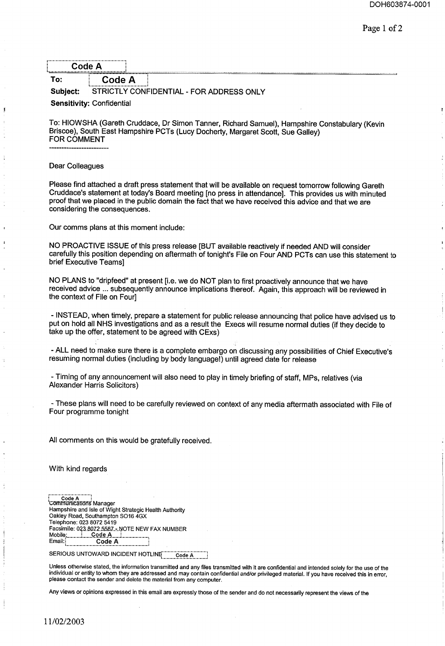| ٦e<br>M |  |
|---------|--|
| -       |  |
|         |  |
|         |  |

To: **Code A Subject:** STRICTLY CONFIDENTIAL **-** FOR ADDRESS ONLY

**Sensitivity: Confidential**

To: HIOWSHA (Gareth Cruddace, Dr Simon Tanner, Richard Samuel), Hampshire Constabulary (Kevin Briscoe), South East Hampshire PCTs (Lucy Docherty, Margaret Scott, Sue Galley) FOR COMMENT

Dear Colleagues

Please find attached a draft press statement that will be available on request tomorrow following Gareth Cruddace's statement at today's Board meeting [no press in attendance]. This provides us with minuted proof that we placed in the public domain the fact that we have received this advice and that we are considering the consequences.

Our comms plans at this moment include:

NO PROACTIVE ISSUE of this press release [BUT available reactively if needed AND will consider carefully this position depending on aftermath of tonight's File on Four AND PCTs can use this statement to brief Executive Teams]

NO PLANS to "dripfeed" at present [i.e. we do NOT plan to first proactively announce that we have received advice ... subsequently announce implications thereof. Again, this approach will be reviewed in the context of File on Four]

- INSTEAD, when timely, prepare a statement for public release announcing that police have advised us to put on hold all NHS investigations and as a result the Execs will resume normal duties (if they decide to take up the offer, statement to be agreed with CExs)

- ALL need to make sure there is a complete embargo on discussing any possibilities of Chief Executive's resuming normal duties (including by body language!) until agreed date for release

**-** Timing of any announcement will also need to play in timely briefing of staff, MPs, relatives (via Alexander Harris Solicitors)

**-** These plans will need to be carefully reviewed on context of any media aftermath associated with File of Four programme tonight

All comments on this would be gratefully received.

With kind regards

.........................j Code A i GOI11TdlJni~'t]~J~g Manager Hampshire and Isle of Wight Strategic Health Authority Oakley Road, Southampton SO16 4GX Telephone: 023 8072 5419 Facsimile: 0~3.~QZ2.558]\_.-\_NOTE NEW FAX NUMBER Mobile: Code A<br>Email: Code Code A

SERIOUS UNTOWARD INCIDENT HOTLINE.........Code A

Unless otherwise stated, the information transmitted and any files transmitted with it are confidential and intended solely for the use of the individual or entity to whom they are addressed and may contain confidential and/or privileged material. If you have received this in error, please contact the sender and delete the material from any computer.

Any views or opinions expressed in this email are expressly those of the sender and do not necessarily represent the views of **the**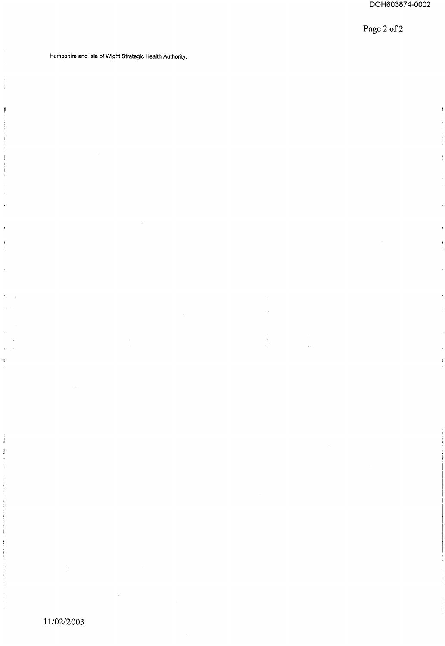$\ddot{\textbf{r}}$ 

 $\bar{z}$ 

**Page 2 of 2**

Hampshire and Isle of Wight Strategic Health Authority.

J.

Ĵ.

 $\begin{array}{c} \end{array}$ 

Ĵ

 $\mathbf{r}$ 

i.

j ś